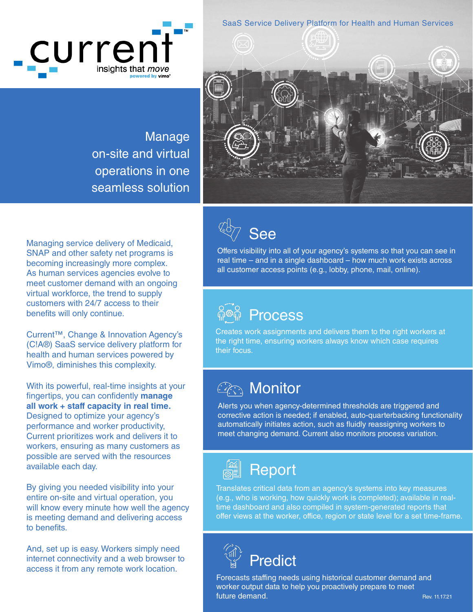curren<sup>-</sup> insights that *move* 

SaaS Service Delivery Platform for Health and Human Services

Manage on-site and virtual operations in one seamless solution



Managing service delivery of Medicaid, SNAP and other safety net programs is becoming increasingly more complex. As human services agencies evolve to meet customer demand with an ongoing virtual workforce, the trend to supply customers with 24/7 access to their benefits will only continue.

Current™, Change & Innovation Agency's (C!A®) SaaS service delivery platform for health and human services powered by Vimo®, diminishes this complexity.

With its powerful, real-time insights at your fingertips, you can confidently **manage all work + staff capacity in real time.** Designed to optimize your agency's performance and worker productivity, Current prioritizes work and delivers it to workers, ensuring as many customers as possible are served with the resources available each day.

By giving you needed visibility into your entire on-site and virtual operation, you will know every minute how well the agency is meeting demand and delivering access to benefits.

And, set up is easy. Workers simply need internet connectivity and a web browser to access it from any remote work location.

See

Offers visibility into all of your agency's systems so that you can see in real time – and in a single dashboard – how much work exists across all customer access points (e.g., lobby, phone, mail, online).



Creates work assignments and delivers them to the right workers at the right time, ensuring workers always know which case requires their focus.

## **Arthrace Monitor**

Alerts you when agency-determined thresholds are triggered and corrective action is needed; if enabled, auto-quarterbacking functionality automatically initiates action, such as fluidly reassigning workers to meet changing demand. Current also monitors process variation.



Translates critical data from an agency's systems into key measures (e.g., who is working, how quickly work is completed); available in realtime dashboard and also compiled in system-generated reports that offer views at the worker, office, region or state level for a set time-frame.



Forecasts staffing needs using historical customer demand and worker output data to help you proactively prepare to meet future demand.